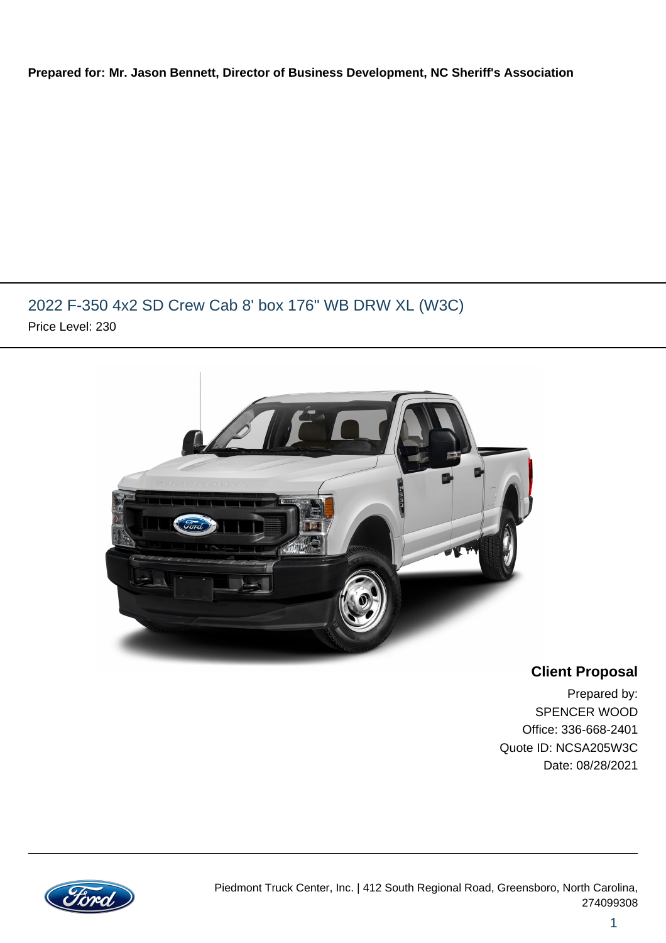#### **Prepared for: Mr. Jason Bennett, Director of Business Development, NC Sheriff's Association**

## 2022 F-350 4x2 SD Crew Cab 8' box 176" WB DRW XL (W3C) Price Level: 230



### **Client Proposal**

Prepared by: SPENCER WOOD Office: 336-668-2401 Quote ID: NCSA205W3C Date: 08/28/2021

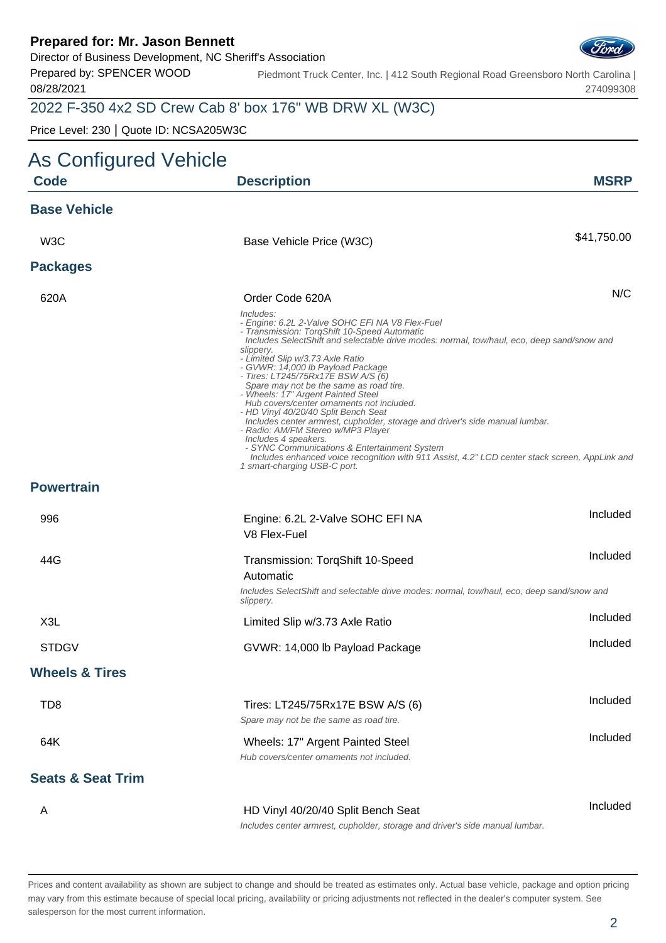Director of Business Development, NC Sheriff's Association

Prepared by: SPENCER WOOD 08/28/2021

Piedmont Truck Center, Inc. | 412 South Regional Road Greensboro North Carolina | 274099308

## 2022 F-350 4x2 SD Crew Cab 8' box 176" WB DRW XL (W3C)

Price Level: 230 | Quote ID: NCSA205W3C

| <b>As Configured Vehicle</b> |                                                                                                                                                                                                                                                                                                                                                                                                                                                                                                                                                                                                                                                                                                                                                                                                                                              |             |
|------------------------------|----------------------------------------------------------------------------------------------------------------------------------------------------------------------------------------------------------------------------------------------------------------------------------------------------------------------------------------------------------------------------------------------------------------------------------------------------------------------------------------------------------------------------------------------------------------------------------------------------------------------------------------------------------------------------------------------------------------------------------------------------------------------------------------------------------------------------------------------|-------------|
| <b>Code</b>                  | <b>Description</b>                                                                                                                                                                                                                                                                                                                                                                                                                                                                                                                                                                                                                                                                                                                                                                                                                           | <b>MSRP</b> |
| <b>Base Vehicle</b>          |                                                                                                                                                                                                                                                                                                                                                                                                                                                                                                                                                                                                                                                                                                                                                                                                                                              |             |
| W <sub>3</sub> C             | Base Vehicle Price (W3C)                                                                                                                                                                                                                                                                                                                                                                                                                                                                                                                                                                                                                                                                                                                                                                                                                     | \$41,750.00 |
| <b>Packages</b>              |                                                                                                                                                                                                                                                                                                                                                                                                                                                                                                                                                                                                                                                                                                                                                                                                                                              |             |
| 620A                         | Order Code 620A                                                                                                                                                                                                                                                                                                                                                                                                                                                                                                                                                                                                                                                                                                                                                                                                                              | N/C         |
|                              | Includes:<br>- Engine: 6.2L 2-Valve SOHC EFI NA V8 Flex-Fuel<br>- Transmission: TorqShift 10-Speed Automatic<br>Includes SelectShift and selectable drive modes: normal, tow/haul, eco, deep sand/snow and<br>slippery.<br>- Limited Slip w/3.73 Axle Ratio<br>- GVWR: 14,000 lb Payload Package<br>- Tires: LT245/75Rx17E BSW A/S (6)<br>Spare may not be the same as road tire.<br>- Wheels: 17" Argent Painted Steel<br>Hub covers/center ornaments not included.<br>- HD Vinyl 40/20/40 Split Bench Seat<br>Includes center armrest, cupholder, storage and driver's side manual lumbar.<br>- Radio: AM/FM Stereo w/MP3 Player<br>Includes 4 speakers.<br>- SYNC Communications & Entertainment System<br>Includes enhanced voice recognition with 911 Assist, 4.2" LCD center stack screen, AppLink and<br>1 smart-charging USB-C port. |             |
| <b>Powertrain</b>            |                                                                                                                                                                                                                                                                                                                                                                                                                                                                                                                                                                                                                                                                                                                                                                                                                                              |             |
| 996                          | Engine: 6.2L 2-Valve SOHC EFI NA                                                                                                                                                                                                                                                                                                                                                                                                                                                                                                                                                                                                                                                                                                                                                                                                             | Included    |
|                              | V8 Flex-Fuel                                                                                                                                                                                                                                                                                                                                                                                                                                                                                                                                                                                                                                                                                                                                                                                                                                 |             |
| 44G                          | Transmission: TorqShift 10-Speed                                                                                                                                                                                                                                                                                                                                                                                                                                                                                                                                                                                                                                                                                                                                                                                                             | Included    |
|                              | Automatic<br>Includes SelectShift and selectable drive modes: normal, tow/haul, eco, deep sand/snow and<br>slippery.                                                                                                                                                                                                                                                                                                                                                                                                                                                                                                                                                                                                                                                                                                                         |             |
| X3L                          | Limited Slip w/3.73 Axle Ratio                                                                                                                                                                                                                                                                                                                                                                                                                                                                                                                                                                                                                                                                                                                                                                                                               | Included    |
| <b>STDGV</b>                 | GVWR: 14,000 lb Payload Package                                                                                                                                                                                                                                                                                                                                                                                                                                                                                                                                                                                                                                                                                                                                                                                                              | Included    |
| <b>Wheels &amp; Tires</b>    |                                                                                                                                                                                                                                                                                                                                                                                                                                                                                                                                                                                                                                                                                                                                                                                                                                              |             |
| TD <sub>8</sub>              | Tires: LT245/75Rx17E BSW A/S (6)<br>Spare may not be the same as road tire.                                                                                                                                                                                                                                                                                                                                                                                                                                                                                                                                                                                                                                                                                                                                                                  | Included    |
| 64K                          | Wheels: 17" Argent Painted Steel<br>Hub covers/center ornaments not included.                                                                                                                                                                                                                                                                                                                                                                                                                                                                                                                                                                                                                                                                                                                                                                | Included    |
| <b>Seats &amp; Seat Trim</b> |                                                                                                                                                                                                                                                                                                                                                                                                                                                                                                                                                                                                                                                                                                                                                                                                                                              |             |
| A                            | HD Vinyl 40/20/40 Split Bench Seat<br>Includes center armrest, cupholder, storage and driver's side manual lumbar.                                                                                                                                                                                                                                                                                                                                                                                                                                                                                                                                                                                                                                                                                                                           | Included    |

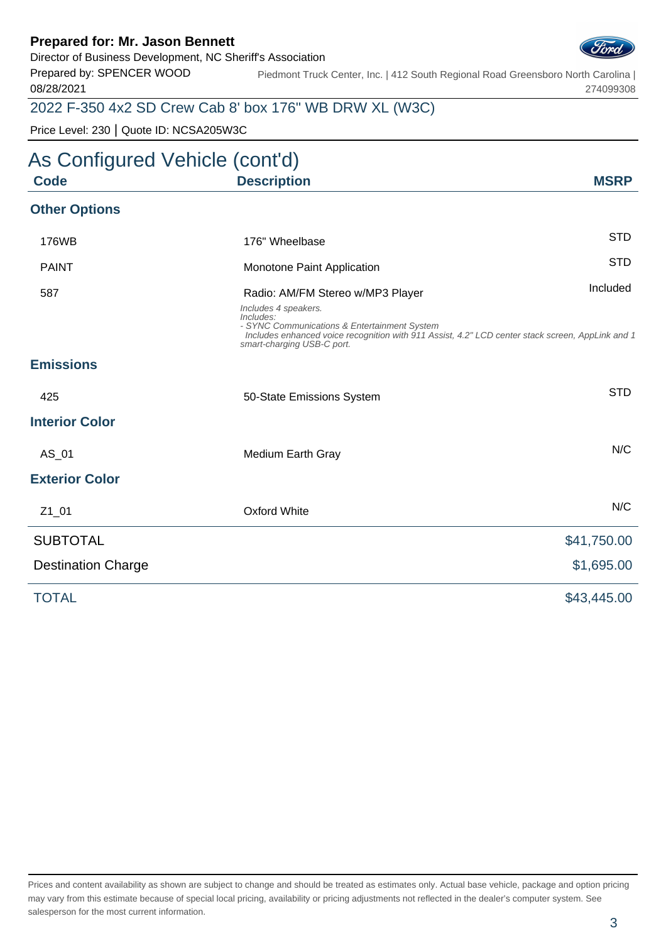Director of Business Development, NC Sheriff's Association

Prepared by: SPENCER WOOD 08/28/2021

Piedmont Truck Center, Inc. | 412 South Regional Road Greensboro North Carolina | 274099308

## 2022 F-350 4x2 SD Crew Cab 8' box 176" WB DRW XL (W3C)

Price Level: 230 | Quote ID: NCSA205W3C

## As Configured Vehicle (cont'd) **Code Description MSRP Other Options** 176WB 176" Wheelbase STD PAINT **STD** Monotone Paint Application 587 **Radio: AM/FM Stereo w/MP3 Player** 10 Communication of the Uncluded Includes 4 speakers. Includes: - SYNC Communications & Entertainment System Includes enhanced voice recognition with 911 Assist, 4.2" LCD center stack screen, AppLink and 1 smart-charging USB-C port. **Emissions** 425 **50-State Emissions System** System STD **Interior Color** AS 01 Medium Earth Gray Note 2012 and 2012 MC **Exterior Color** Z1\_01 Oxford White N/C SUBTOTAL \$41,750.00 Destination Charge  $$1,695.00$ TOTAL \$43,445.00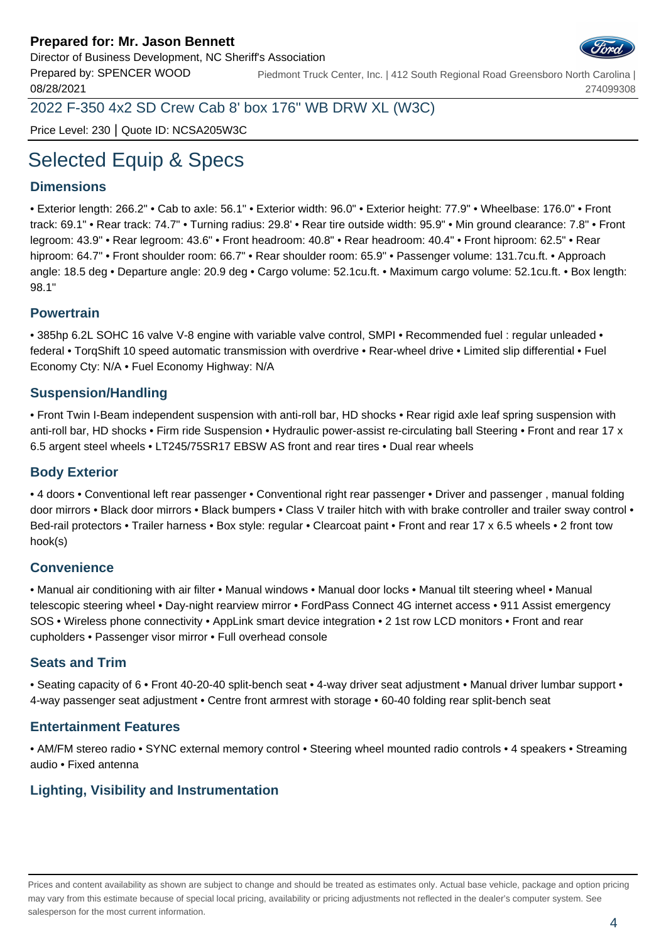Prepared by: SPENCER WOOD



274099308

08/28/2021 2022 F-350 4x2 SD Crew Cab 8' box 176" WB DRW XL (W3C)

Price Level: 230 | Quote ID: NCSA205W3C

# Selected Equip & Specs

#### **Dimensions**

• Exterior length: 266.2" • Cab to axle: 56.1" • Exterior width: 96.0" • Exterior height: 77.9" • Wheelbase: 176.0" • Front track: 69.1" • Rear track: 74.7" • Turning radius: 29.8' • Rear tire outside width: 95.9" • Min ground clearance: 7.8" • Front legroom: 43.9" • Rear legroom: 43.6" • Front headroom: 40.8" • Rear headroom: 40.4" • Front hiproom: 62.5" • Rear hiproom: 64.7" • Front shoulder room: 66.7" • Rear shoulder room: 65.9" • Passenger volume: 131.7cu.ft. • Approach angle: 18.5 deg • Departure angle: 20.9 deg • Cargo volume: 52.1cu.ft. • Maximum cargo volume: 52.1cu.ft. • Box length: 98.1"

Piedmont Truck Center, Inc. | 412 South Regional Road Greensboro North Carolina |

#### **Powertrain**

• 385hp 6.2L SOHC 16 valve V-8 engine with variable valve control, SMPI • Recommended fuel : regular unleaded • federal • TorqShift 10 speed automatic transmission with overdrive • Rear-wheel drive • Limited slip differential • Fuel Economy Cty: N/A • Fuel Economy Highway: N/A

#### **Suspension/Handling**

• Front Twin I-Beam independent suspension with anti-roll bar, HD shocks • Rear rigid axle leaf spring suspension with anti-roll bar, HD shocks • Firm ride Suspension • Hydraulic power-assist re-circulating ball Steering • Front and rear 17 x 6.5 argent steel wheels • LT245/75SR17 EBSW AS front and rear tires • Dual rear wheels

#### **Body Exterior**

• 4 doors • Conventional left rear passenger • Conventional right rear passenger • Driver and passenger , manual folding door mirrors • Black door mirrors • Black bumpers • Class V trailer hitch with with brake controller and trailer sway control • Bed-rail protectors • Trailer harness • Box style: regular • Clearcoat paint • Front and rear 17 x 6.5 wheels • 2 front tow hook(s)

#### **Convenience**

• Manual air conditioning with air filter • Manual windows • Manual door locks • Manual tilt steering wheel • Manual telescopic steering wheel • Day-night rearview mirror • FordPass Connect 4G internet access • 911 Assist emergency SOS • Wireless phone connectivity • AppLink smart device integration • 2 1st row LCD monitors • Front and rear cupholders • Passenger visor mirror • Full overhead console

#### **Seats and Trim**

• Seating capacity of 6 • Front 40-20-40 split-bench seat • 4-way driver seat adjustment • Manual driver lumbar support • 4-way passenger seat adjustment • Centre front armrest with storage • 60-40 folding rear split-bench seat

#### **Entertainment Features**

• AM/FM stereo radio • SYNC external memory control • Steering wheel mounted radio controls • 4 speakers • Streaming audio • Fixed antenna

#### **Lighting, Visibility and Instrumentation**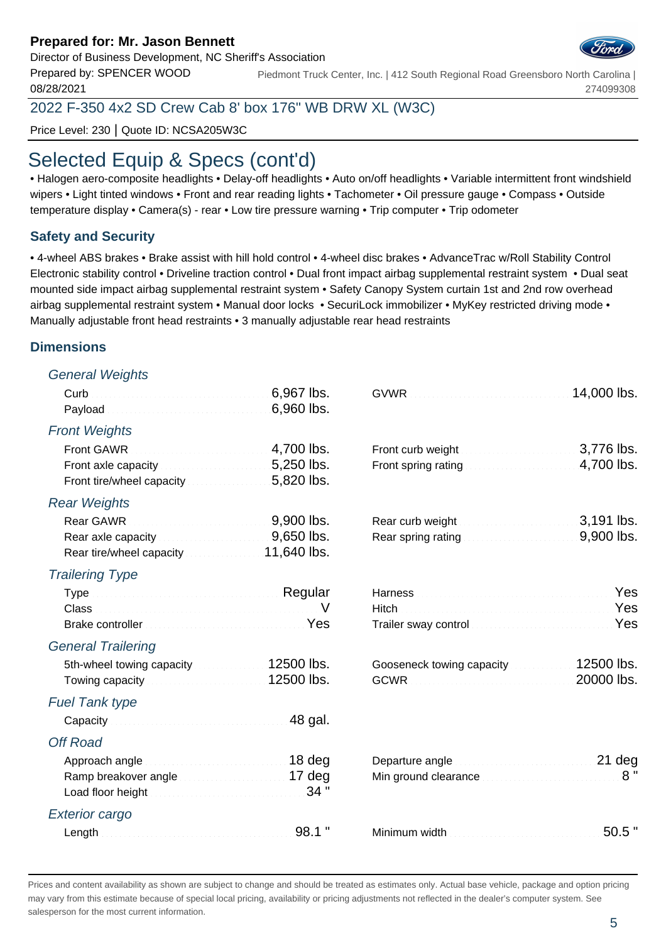#### Director of Business Development, NC Sheriff's Association

Prepared by: SPENCER WOOD 08/28/2021 Piedmont Truck Center, Inc. | 412 South Regional Road Greensboro North Carolina | 274099308

2022 F-350 4x2 SD Crew Cab 8' box 176" WB DRW XL (W3C)

Price Level: 230 | Quote ID: NCSA205W3C

## Selected Equip & Specs (cont'd)

• Halogen aero-composite headlights • Delay-off headlights • Auto on/off headlights • Variable intermittent front windshield wipers • Light tinted windows • Front and rear reading lights • Tachometer • Oil pressure gauge • Compass • Outside temperature display • Camera(s) - rear • Low tire pressure warning • Trip computer • Trip odometer

#### **Safety and Security**

• 4-wheel ABS brakes • Brake assist with hill hold control • 4-wheel disc brakes • AdvanceTrac w/Roll Stability Control Electronic stability control • Driveline traction control • Dual front impact airbag supplemental restraint system • Dual seat mounted side impact airbag supplemental restraint system • Safety Canopy System curtain 1st and 2nd row overhead airbag supplemental restraint system • Manual door locks • SecuriLock immobilizer • MyKey restricted driving mode • Manually adjustable front head restraints • 3 manually adjustable rear head restraints

#### **Dimensions**

#### General Weights

|                                                                                                                                                                                                                                | 6,967 lbs.<br>6,960 lbs. |                                                                               | 14,000 lbs.              |
|--------------------------------------------------------------------------------------------------------------------------------------------------------------------------------------------------------------------------------|--------------------------|-------------------------------------------------------------------------------|--------------------------|
| <b>Front Weights</b>                                                                                                                                                                                                           |                          |                                                                               |                          |
|                                                                                                                                                                                                                                | 4,700 lbs.               | Front curb weight <b>Exercised Street and Street Street Street</b> 3,776 lbs. |                          |
| Front axle capacity <b>Exercise 2008</b> . 5,250 lbs.<br>Front tire/wheel capacity <b>Example 20 Set 10</b> S, 820 lbs.                                                                                                        |                          | Front spring rating <b>Exercise 2008</b> and 2,700 lbs.                       |                          |
| <b>Rear Weights</b>                                                                                                                                                                                                            |                          |                                                                               |                          |
|                                                                                                                                                                                                                                |                          |                                                                               | 3,191 lbs.               |
| Rear axle capacity <b>Exercise 2008</b> 10.000 MS.                                                                                                                                                                             |                          | Rear spring rating <b>Exercise 2000</b> lbs.                                  |                          |
| <b>Trailering Type</b>                                                                                                                                                                                                         |                          |                                                                               |                          |
| Type Regular                                                                                                                                                                                                                   |                          |                                                                               | Yes                      |
| Class No. 1996. In the contract of the contract of the contract of the contract of the contract of the contract of the contract of the contract of the contract of the contract of the contract of the contract of the contrac |                          |                                                                               | Yes                      |
| Brake controller <b>Election Controller</b> Yes                                                                                                                                                                                |                          | Trailer sway control management and control to the control of                 | Yes                      |
| <b>General Trailering</b>                                                                                                                                                                                                      |                          |                                                                               |                          |
| 5th-wheel towing capacity 12500 lbs.<br>Towing capacity <b>Constitution Communist Communist 12500 lbs.</b>                                                                                                                     |                          | Gooseneck towing capacity <b>Cooseneck</b>                                    | 12500 lbs.<br>20000 lbs. |
| <b>Fuel Tank type</b>                                                                                                                                                                                                          |                          |                                                                               |                          |
|                                                                                                                                                                                                                                | 48 gal.                  |                                                                               |                          |
| <b>Off Road</b>                                                                                                                                                                                                                |                          |                                                                               |                          |
| Approach angle manuscripture and 18 deg                                                                                                                                                                                        |                          | Departure angle <b>contract to the contract of the Departure angle</b>        |                          |
| Ramp breakover angle<br>Load floor height Material Account 24 "                                                                                                                                                                |                          | Min ground clearance <b>construction and provided</b>                         | 8"                       |
| <b>Exterior cargo</b>                                                                                                                                                                                                          |                          |                                                                               |                          |
|                                                                                                                                                                                                                                | $98.1$ "                 |                                                                               | $50.5$ "                 |

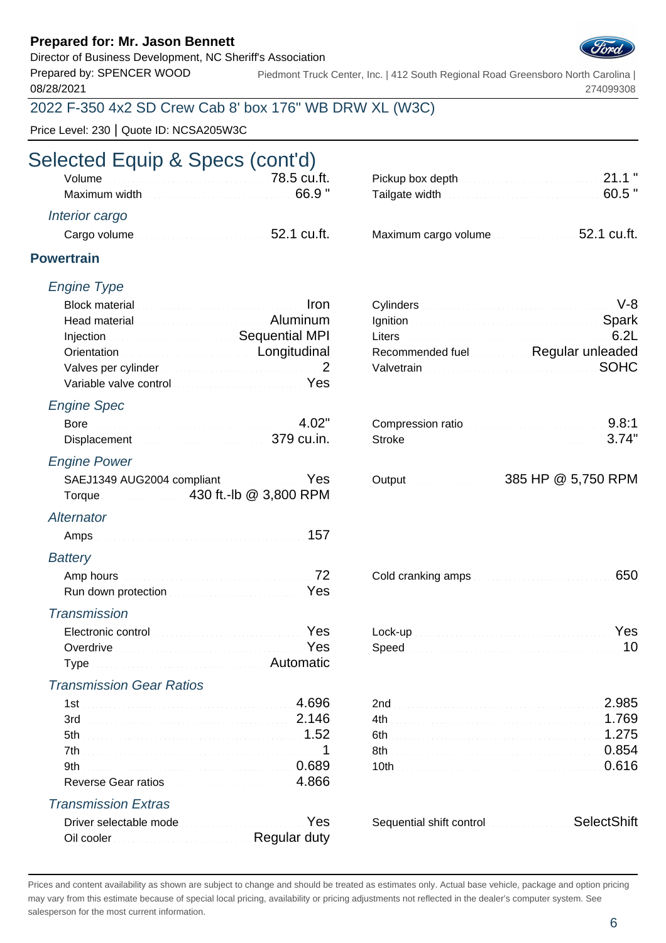Director of Business Development, NC Sheriff's Association

Prepared by: SPENCER WOOD 08/28/2021

Piedmont Truck Center, Inc. | 412 South Regional Road Greensboro North Carolina | 274099308

## 2022 F-350 4x2 SD Crew Cab 8' box 176" WB DRW XL (W3C)

Price Level: 230 | Quote ID: NCSA205W3C

# Selected Equip & Specs (cont'd)

| Volume value of the contract of the contract of the value of the value of the value of the value of the value of the value of the value of the value of the value of the value of the value of the value of the value of the v       |                                                                                               |       |
|--------------------------------------------------------------------------------------------------------------------------------------------------------------------------------------------------------------------------------------|-----------------------------------------------------------------------------------------------|-------|
| Maximum width <b>Exercise Contract Contract Contract Contract Contract Contract Contract Contract Control Contract Contract Contract Contract Contract Contract Contract Contract Contract Contract Contract Contract Contract C</b> | Tailgate width $\frac{1}{2}$ . The set of the set of the set of the set of $\sim$ 60.5 $\,$ " |       |
| Interior cargo                                                                                                                                                                                                                       |                                                                                               |       |
|                                                                                                                                                                                                                                      |                                                                                               | - - - |

| Cargo volume <b>contract to the Cargo volume</b> 52.1 cu.ft. |  |  |  |  |
|--------------------------------------------------------------|--|--|--|--|
|                                                              |  |  |  |  |

| Pickup box depth $\qquad \qquad \qquad 21.1$ "                                           |  |
|------------------------------------------------------------------------------------------|--|
| Tailgate width $\frac{1}{2}$ . The contribution of the contribution of $60.5$ $^{\circ}$ |  |
|                                                                                          |  |

| Cargo volume <b>contract to the Cargo volume</b> 52.1 cu.ft. | Maximum cargo volume <b>contracts</b> 52.1 cu.ft. |  |
|--------------------------------------------------------------|---------------------------------------------------|--|
|                                                              |                                                   |  |

#### **Powertrain**

#### Engine Type

| Block material <b>Election Contract Contract of the United States and Iron</b> |                                                           | Cylinders Martin March 1999 (No. 1999) |                                         |
|--------------------------------------------------------------------------------|-----------------------------------------------------------|----------------------------------------|-----------------------------------------|
| Head material <b>Constitution Communist Communist Properties</b>               |                                                           |                                        | Ignition <b>Spark</b>                   |
|                                                                                | Injection <b>Constitution Constitution</b> Sequential MPI |                                        |                                         |
| Orientation <b>Construction Construction Construction</b>                      |                                                           |                                        | Recommended fuel Regular unleaded       |
|                                                                                |                                                           |                                        | Valvetrain Material Account of the SOHC |
| Variable valve control with a substitution of Yes                              |                                                           |                                        |                                         |
|                                                                                |                                                           |                                        |                                         |

#### Engine Spec

| Bore         | Compression ratio<br>the contract of the contract of the contract of the contract of the contract of the contract of the contract of the |  |
|--------------|------------------------------------------------------------------------------------------------------------------------------------------|--|
| Displacement |                                                                                                                                          |  |

#### Engine Power

| SAEJ1349 AUG2004 compliantYes |  |  |
|-------------------------------|--|--|
| Torque 430 ft.-lb @ 3,800 RPM |  |  |

#### **Alternator**

| Amps |  |
|------|--|
|------|--|

#### **Battery**

| Run down protection Material Account Pes |  |
|------------------------------------------|--|

#### **Transmission**

| Electronic control entropy and the set of the Second Pressure of the Second Pressure of the Second Pressure of the Second Pressure of the Second Pressure of the Second Pressure of the Second Pressure of the Second Pressure |  | Yes |
|--------------------------------------------------------------------------------------------------------------------------------------------------------------------------------------------------------------------------------|--|-----|
| Overdrive <b>Constitution Constitution Constitution</b> Pes                                                                                                                                                                    |  |     |
| <b>Type</b>                                                                                                                                                                                                                    |  |     |

#### Transmission Gear Ratios

|                            |                          | 985 |
|----------------------------|--------------------------|-----|
| 3rd 2.146                  |                          |     |
|                            |                          |     |
|                            |                          |     |
|                            |                          |     |
| Reverse Gear ratios        |                          |     |
| <b>Transmission Extras</b> |                          |     |
| Driver selectable mode     | Sequential shift control |     |

| Driver selectable mode |  |
|------------------------|--|
| Regular duty           |  |

| Cylinders <b>Cylinders</b> (2008) 2014 11:30 Monetary 10:48 |  |
|-------------------------------------------------------------|--|
| gnition Spark                                               |  |
|                                                             |  |
| Recommended fuel Regular unleaded                           |  |
| Valvetrain Material Communication of SOHC                   |  |

| Compression ratio |  |
|-------------------|--|
| Stroke 3.74"      |  |

|  | 385 HP @ 5,750 RPM |
|--|--------------------|
|  |                    |

|  | Cold cranking amps <b>Cold cranking</b> amps and continuum and cold cranking amps and continuum and cold continuum and continuum and continuum and continuum and continuum and continuum and continuum and continuum and continuum |  |
|--|------------------------------------------------------------------------------------------------------------------------------------------------------------------------------------------------------------------------------------|--|
|--|------------------------------------------------------------------------------------------------------------------------------------------------------------------------------------------------------------------------------------|--|

|  |  |  | Lock-up <b>contract the contract of the contract of the contract of the contract of the contract of the contract of the contract of the contract of the contract of the contract of the contract of the contract of the contract</b> |  |
|--|--|--|--------------------------------------------------------------------------------------------------------------------------------------------------------------------------------------------------------------------------------------|--|
|  |  |  |                                                                                                                                                                                                                                      |  |

| 2.985                                    |  |
|------------------------------------------|--|
|                                          |  |
| 6th <b>Contract Communications</b> 1.275 |  |
|                                          |  |
|                                          |  |
|                                          |  |

| Driver selectable mode <b>Committee Controllers</b> Yes | Sequential shift control SelectShift |  |
|---------------------------------------------------------|--------------------------------------|--|
|---------------------------------------------------------|--------------------------------------|--|

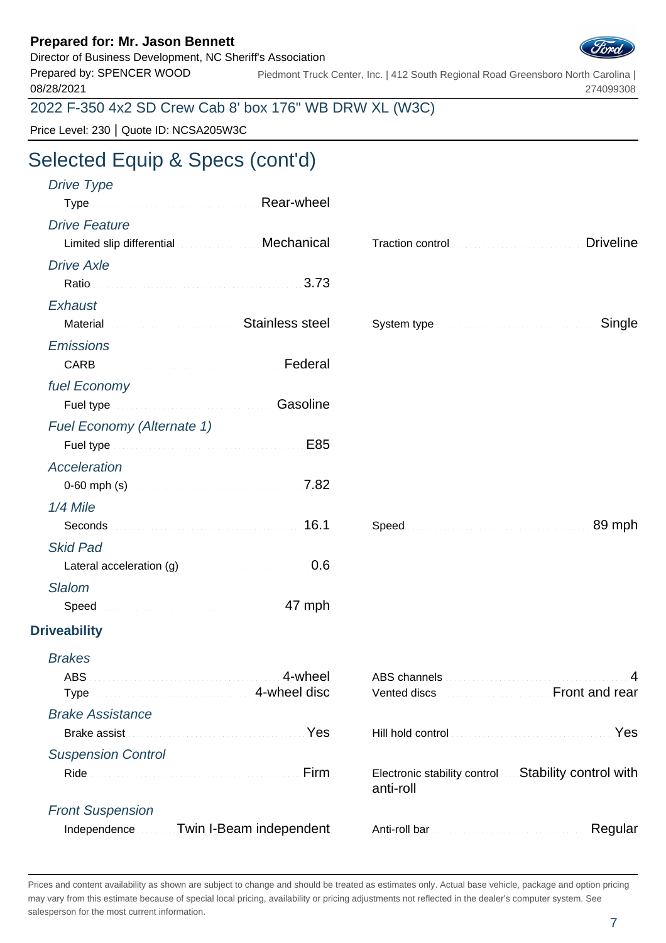### Director of Business Development, NC Sheriff's Association



Prepared by: SPENCER WOOD 08/28/2021 Piedmont Truck Center, Inc. | 412 South Regional Road Greensboro North Carolina | 274099308

2022 F-350 4x2 SD Crew Cab 8' box 176" WB DRW XL (W3C)

Price Level: 230 | Quote ID: NCSA205W3C

# Selected Equip & Specs (cont'd)

| Drive Type                        |                                                                                                                |                                                                                                                                                                                                                                |                  |
|-----------------------------------|----------------------------------------------------------------------------------------------------------------|--------------------------------------------------------------------------------------------------------------------------------------------------------------------------------------------------------------------------------|------------------|
|                                   | Type Manuscript Alear-wheel                                                                                    |                                                                                                                                                                                                                                |                  |
| <b>Drive Feature</b>              |                                                                                                                |                                                                                                                                                                                                                                |                  |
|                                   | Limited slip differential Mechanical                                                                           |                                                                                                                                                                                                                                | <b>Driveline</b> |
| <b>Drive Axle</b>                 |                                                                                                                |                                                                                                                                                                                                                                |                  |
|                                   | Ratio 3.73                                                                                                     |                                                                                                                                                                                                                                |                  |
| Exhaust                           |                                                                                                                |                                                                                                                                                                                                                                |                  |
|                                   | Material Material And Material Material Material Material Material Material Material Material Material Materia |                                                                                                                                                                                                                                | Single           |
| <b>Emissions</b>                  |                                                                                                                |                                                                                                                                                                                                                                |                  |
|                                   | CARB <b>CARB CARB</b>                                                                                          |                                                                                                                                                                                                                                |                  |
| fuel Economy                      |                                                                                                                |                                                                                                                                                                                                                                |                  |
|                                   | Fuel type <b>Constitution of the Constitution Casoline</b>                                                     |                                                                                                                                                                                                                                |                  |
| <b>Fuel Economy (Alternate 1)</b> |                                                                                                                |                                                                                                                                                                                                                                |                  |
|                                   | E85                                                                                                            |                                                                                                                                                                                                                                |                  |
| <b>Acceleration</b>               |                                                                                                                |                                                                                                                                                                                                                                |                  |
|                                   |                                                                                                                |                                                                                                                                                                                                                                |                  |
| 1/4 Mile                          |                                                                                                                |                                                                                                                                                                                                                                |                  |
|                                   |                                                                                                                |                                                                                                                                                                                                                                | 89 mph           |
| <b>Skid Pad</b>                   |                                                                                                                |                                                                                                                                                                                                                                |                  |
|                                   | Lateral acceleration (g) <b>Exercise 2008</b> 0.6                                                              |                                                                                                                                                                                                                                |                  |
| <b>Slalom</b>                     |                                                                                                                |                                                                                                                                                                                                                                |                  |
|                                   |                                                                                                                |                                                                                                                                                                                                                                |                  |
| <b>Driveability</b>               |                                                                                                                |                                                                                                                                                                                                                                |                  |
| <b>Brakes</b>                     |                                                                                                                |                                                                                                                                                                                                                                |                  |
| ABS                               | 4-wheel                                                                                                        | ABS channels with a continuum and a continuum of the continuum of the continuum of the continuum of the continuum of the continuum of the continuum of the continuum of the continuum of the continuum of the continuum of the |                  |
|                                   | Type manufacturers and all 4-wheel disc                                                                        | Vented discs                                                                                                                                                                                                                   | Front and rear   |
| <b>Brake Assistance</b>           |                                                                                                                |                                                                                                                                                                                                                                |                  |
|                                   | Yes                                                                                                            |                                                                                                                                                                                                                                | Yes              |
| <b>Suspension Control</b>         |                                                                                                                |                                                                                                                                                                                                                                |                  |
|                                   |                                                                                                                | Electronic stability control Stability control with<br>anti-roll                                                                                                                                                               |                  |
| <b>Front Suspension</b>           |                                                                                                                |                                                                                                                                                                                                                                |                  |
| Independence                      | Twin I-Beam independent                                                                                        |                                                                                                                                                                                                                                | Regular          |
|                                   |                                                                                                                |                                                                                                                                                                                                                                |                  |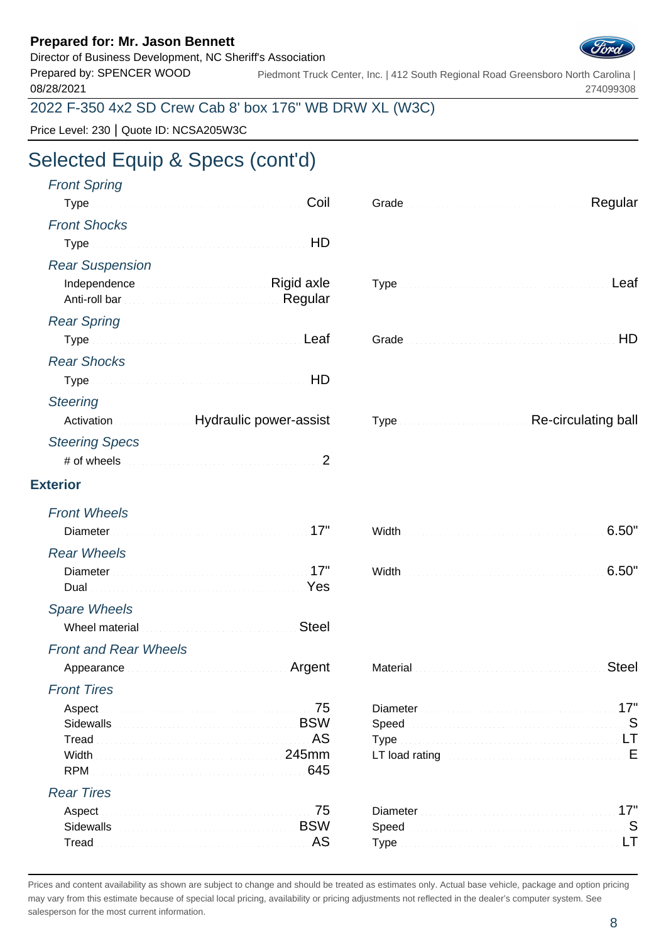Director of Business Development, NC Sheriff's Association



Prepared by: SPENCER WOOD 08/28/2021 Piedmont Truck Center, Inc. | 412 South Regional Road Greensboro North Carolina | 274099308

### 2022 F-350 4x2 SD Crew Cab 8' box 176" WB DRW XL (W3C)

Price Level: 230 | Quote ID: NCSA205W3C

# Selected Equip & Specs (cont'd)

| <b>Front Spring</b><br>Coil                                  | Regular                                       |
|--------------------------------------------------------------|-----------------------------------------------|
| <b>Front Shocks</b>                                          |                                               |
|                                                              |                                               |
|                                                              |                                               |
| <b>Rear Suspension</b>                                       |                                               |
| Independence <b>Manual Community Rigid axle</b>              |                                               |
| <b>Rear Spring</b>                                           |                                               |
|                                                              | HD                                            |
| <b>Rear Shocks</b>                                           |                                               |
| HD                                                           |                                               |
| <b>Steering</b>                                              |                                               |
| Activation <b>Exercise 2018</b> Hydraulic power-assist       | Type <b>Manufacturers</b> Re-circulating ball |
| <b>Steering Specs</b>                                        |                                               |
| 2                                                            |                                               |
| <b>Exterior</b>                                              |                                               |
| <b>Front Wheels</b>                                          |                                               |
| Diameter Manual Communication of the United States of Tables | 6.50"                                         |
| <b>Rear Wheels</b>                                           |                                               |
| Diameter Manual Manual Manual Manual Manual Manual 17"       | 6.50"                                         |
| Dual Nest New Yes                                            |                                               |
| <b>Spare Wheels</b>                                          |                                               |
| <b>Steel</b><br>Wheel material communications and containing |                                               |
| <b>Front and Rear Wheels</b>                                 |                                               |
| Appearance Automatics Argent                                 | <b>Steel</b>                                  |
| <b>Front Tires</b>                                           |                                               |
| Aspect                                                       | 17"                                           |
| <b>BSW</b><br>Sidewalls                                      | Speed                                         |
| AS.<br>Tread<br>Width                                        |                                               |
| 645<br><b>RPM</b>                                            |                                               |
| <b>Rear Tires</b>                                            |                                               |
| 75<br>Aspect                                                 | 17"                                           |
| <b>BSW</b><br><b>Sidewalls</b>                               | Speed                                         |
| Tread AS                                                     |                                               |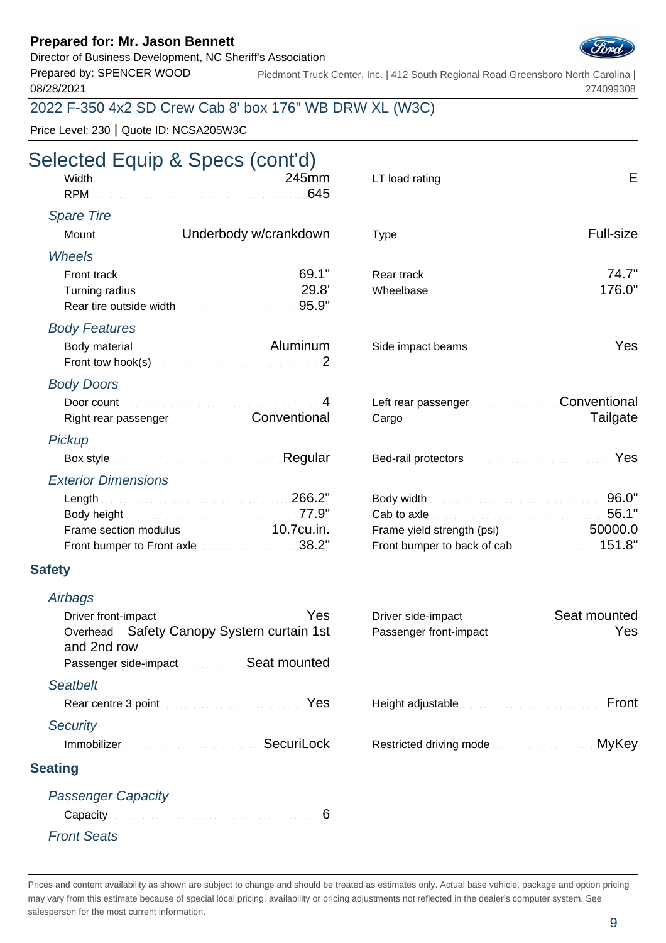#### Director of Business Development, NC Sheriff's Association



Prepared by: SPENCER WOOD 08/28/2021 Piedmont Truck Center, Inc. | 412 South Regional Road Greensboro North Carolina | 274099308

### 2022 F-350 4x2 SD Crew Cab 8' box 176" WB DRW XL (W3C)

Price Level: 230 | Quote ID: NCSA205W3C

## Selected Equip & Specs (cont'd)

| Width Miller Communication of the 245mm                                                    | 645            | LT load rating <b>Exercise Contract Contract Contract Contract Contract Contract Contract Contract Contract Contract Contract Contract Contract Contract Contract Contract Contract Contract Contract Contract Contract Contract</b> |           |
|--------------------------------------------------------------------------------------------|----------------|--------------------------------------------------------------------------------------------------------------------------------------------------------------------------------------------------------------------------------------|-----------|
| <b>Spare Tire</b>                                                                          |                |                                                                                                                                                                                                                                      |           |
| Mount Mount Muslim Underbody w/crankdown                                                   |                |                                                                                                                                                                                                                                      | Full-size |
| <b>Wheels</b>                                                                              |                |                                                                                                                                                                                                                                      |           |
| Front track <b>Executive Contract 2008</b> 1                                               |                |                                                                                                                                                                                                                                      |           |
| Turning radius Material Communication 29.8'<br>Rear tire outside width Martin March 195.9" |                | Wheelbase Manual Communication of 176.0"                                                                                                                                                                                             |           |
| <b>Body Features</b>                                                                       |                |                                                                                                                                                                                                                                      |           |
| Body material <b>Communications</b> Aluminum                                               |                |                                                                                                                                                                                                                                      |           |
| <b>Body Doors</b>                                                                          |                |                                                                                                                                                                                                                                      |           |
|                                                                                            | $\overline{4}$ | Left rear passenger [11] Conventional                                                                                                                                                                                                |           |
| Right rear passenger Manuscond Conventional                                                |                | Cargo Cargo Cargo Cargo Cargo Cargo Cargo Cargo Cargo Cargo Cargo Cargo Cargo Cargo Cargo Cargo Cargo Cargo Ca                                                                                                                       |           |
| Pickup                                                                                     |                |                                                                                                                                                                                                                                      |           |
| Box style <b>Executive Construction Construction</b> Regular                               |                | Bed-rail protectors <b>Constitution Constitution</b> Yes                                                                                                                                                                             |           |
| <b>Exterior Dimensions</b>                                                                 |                |                                                                                                                                                                                                                                      |           |
| Length 266.2"                                                                              |                | Body width <b>Executive Control Control Control</b> Control Control Control Control Control Control Control Control Co                                                                                                               |           |
| Body height Material Communication of T7.9"                                                |                |                                                                                                                                                                                                                                      | 56.1"     |
| Frame section modulus <b>Example 2018</b> 10.7cu.in.                                       |                | Frame yield strength (psi) [19] Example 20000.0                                                                                                                                                                                      |           |
| Front bumper to Front axle <b>Exercise 2018</b> .2"                                        |                | Front bumper to back of cab <b>Section 2008</b> 151.8"                                                                                                                                                                               |           |
| <b>Safety</b>                                                                              |                |                                                                                                                                                                                                                                      |           |
| Airbags                                                                                    |                |                                                                                                                                                                                                                                      |           |
|                                                                                            | Yes            | Driver side-impact <b>Exercise Seat mounted</b>                                                                                                                                                                                      |           |
| Overhead Safety Canopy System curtain 1st<br>and 2nd row                                   |                | Passenger front-impact Material Communication of Yes                                                                                                                                                                                 |           |
| Passenger side-impact Subsequence Seat mounted                                             |                |                                                                                                                                                                                                                                      |           |
| <b>Seatbelt</b>                                                                            |                |                                                                                                                                                                                                                                      |           |
| Rear centre 3 point Manual Account of the Yes                                              |                | Height adjustable manufacturers and containing                                                                                                                                                                                       | Front     |
| <b>Security</b>                                                                            |                |                                                                                                                                                                                                                                      |           |
| Immobilizer Manuel Alexander SecuriLock                                                    |                | Restricted driving mode                                                                                                                                                                                                              | MyKey     |
| <b>Seating</b>                                                                             |                |                                                                                                                                                                                                                                      |           |
| <b>Passenger Capacity</b>                                                                  |                |                                                                                                                                                                                                                                      |           |
|                                                                                            | 6              |                                                                                                                                                                                                                                      |           |
| <b>Front Seats</b>                                                                         |                |                                                                                                                                                                                                                                      |           |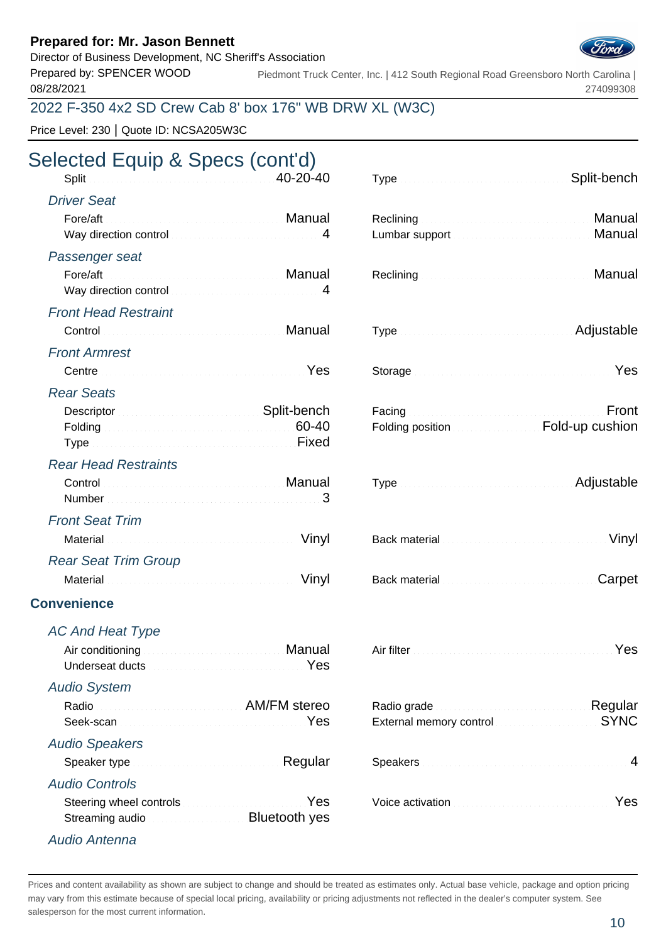Director of Business Development, NC Sheriff's Association

Prepared by: SPENCER WOOD 08/28/2021

Piedmont Truck Center, Inc. | 412 South Regional Road Greensboro North Carolina | 274099308

## 2022 F-350 4x2 SD Crew Cab 8' box 176" WB DRW XL (W3C)

Price Level: 230 | Quote ID: NCSA205W3C

# Selected Equip & Specs (cont'd)

| Split 20-20-40                                                                                                                                                                                                                      |                                     |                                             | Split-bench                                                 |
|-------------------------------------------------------------------------------------------------------------------------------------------------------------------------------------------------------------------------------------|-------------------------------------|---------------------------------------------|-------------------------------------------------------------|
| <b>Driver Seat</b>                                                                                                                                                                                                                  |                                     |                                             |                                                             |
| Fore/aft<br>Way direction control material control and the UV and May direction control material and the UV and May direct                                                                                                          | Manual Manual Andrews Manual Manual |                                             | Reclining <b>Manual</b><br>Manual                           |
| Passenger seat                                                                                                                                                                                                                      |                                     |                                             |                                                             |
| Way direction control and an article control of 4                                                                                                                                                                                   |                                     |                                             | Manual                                                      |
| <b>Front Head Restraint</b>                                                                                                                                                                                                         |                                     |                                             |                                                             |
| Control Manual Manual Manual Manual                                                                                                                                                                                                 |                                     |                                             | Adjustable                                                  |
| <b>Front Armrest</b>                                                                                                                                                                                                                |                                     |                                             |                                                             |
| Centre <b>Centre Communication</b> Pes                                                                                                                                                                                              |                                     |                                             | Yes                                                         |
| <b>Rear Seats</b>                                                                                                                                                                                                                   |                                     |                                             |                                                             |
| Descriptor Communication Control Construction Control Construction Control Construction Construction Construction Construction Construction Construction Construction Construction Construction Construction Construction Cons      |                                     |                                             | Front                                                       |
| Folding 60-40<br>Type Fixed                                                                                                                                                                                                         |                                     |                                             | Folding position <b>EDIM</b> Fold-up cushion                |
| <b>Rear Head Restraints</b>                                                                                                                                                                                                         |                                     |                                             |                                                             |
| Control Control Control Control Control Control Control Control Control Control Control Control Control Control Control Control Control Control Control Control Control Control Control Control Control Control Control Contro      |                                     |                                             | Type Manual Communication and Adjustable                    |
| <b>Front Seat Trim</b>                                                                                                                                                                                                              |                                     |                                             |                                                             |
| Material <b>Material</b> Material Account of the Minutes of the Minutes of Minutes and Minutes of Minutes of Minutes of Minutes of Minutes of Minutes and Minutes of Minutes of Minutes of Minutes of Minutes of Minutes of Minutes |                                     |                                             | Back material <b>Commission Commission Commission</b> Vinyl |
| <b>Rear Seat Trim Group</b>                                                                                                                                                                                                         |                                     |                                             |                                                             |
|                                                                                                                                                                                                                                     | Vinyl                               | Back material communications and containing | Carpet                                                      |
|                                                                                                                                                                                                                                     |                                     |                                             |                                                             |

### **Convenience**

AC And Heat Type Air conditioning Manual Air filter Western Manual Manual Air filter Yesuman Manual Air filter Yesuman Manual A Underseat ducts Material Account of the Vest Audio System Radio **AM/FM** stereo Seek-scan **Memory control memory control Seek-scan** Audio Speakers Speaker type **Regular** Speaker type **Regular** Audio Controls Steering wheel controls **Election Controls Active Active Activation** Material Controls and Testing Western Active Active Active Active Active Active Active Active Active Active Active Active Active Active Active Active Act Streaming audio **Bluetooth yes** Audio Antenna

| ected Equip & Specs (cont'd)                                                                                   |                |                                                                                                                                                                                                                                |              |
|----------------------------------------------------------------------------------------------------------------|----------------|--------------------------------------------------------------------------------------------------------------------------------------------------------------------------------------------------------------------------------|--------------|
|                                                                                                                | $40 - 20 - 40$ |                                                                                                                                                                                                                                | Split-bench  |
| iver Seat                                                                                                      |                |                                                                                                                                                                                                                                |              |
| <b>Manual Adams Adams Adams Adams Adams Adams Adams Adams Adams Adams Adams Adams A</b><br>Fore/aft            |                |                                                                                                                                                                                                                                | Manual       |
| Way direction control with the control of the state of the state of the state of the state of the state of the |                |                                                                                                                                                                                                                                | Manual       |
| ssenger seat                                                                                                   |                |                                                                                                                                                                                                                                |              |
| Way direction control Manuel Allen May direction control of                                                    |                |                                                                                                                                                                                                                                | Manual       |
|                                                                                                                |                |                                                                                                                                                                                                                                |              |
| ont Head Restraint                                                                                             |                |                                                                                                                                                                                                                                |              |
| Control <b>Control Control Control Control Control</b>                                                         |                | Type <b>Manual Community Community</b> Adjustable                                                                                                                                                                              |              |
| ont Armrest                                                                                                    |                |                                                                                                                                                                                                                                |              |
|                                                                                                                | Yes            |                                                                                                                                                                                                                                | Yes          |
| ar Seats                                                                                                       |                |                                                                                                                                                                                                                                |              |
|                                                                                                                |                |                                                                                                                                                                                                                                | Front        |
|                                                                                                                |                | Folding position <b>EDIMENT COLLECT</b> Fold-up cushion                                                                                                                                                                        |              |
|                                                                                                                |                |                                                                                                                                                                                                                                |              |
| ar Head Restraints                                                                                             |                |                                                                                                                                                                                                                                |              |
| Control <b>Control Control Control Control Control</b>                                                         |                | Type <b>Manual Community Community</b> Adjustable                                                                                                                                                                              |              |
|                                                                                                                |                |                                                                                                                                                                                                                                |              |
| ont Seat Trim<br>Material <b>Material Commission Commission Commission</b>                                     | Vinyl          | Back material and continuum and continuum                                                                                                                                                                                      | Vinyl        |
|                                                                                                                |                |                                                                                                                                                                                                                                |              |
| ar Seat Trim Group                                                                                             |                |                                                                                                                                                                                                                                |              |
| Material <b>Material Commission Commission Commission</b>                                                      | Vinyl          | Back material manufacturers and containing and                                                                                                                                                                                 | Carpet       |
| enience                                                                                                        |                |                                                                                                                                                                                                                                |              |
| And Heat Type                                                                                                  |                |                                                                                                                                                                                                                                |              |
| Air conditioning <b>Air and Air Air Air Air Manual</b>                                                         |                | Air filter <b>Executive Community Community Press</b>                                                                                                                                                                          |              |
|                                                                                                                | Yes            |                                                                                                                                                                                                                                |              |
| dio System                                                                                                     |                |                                                                                                                                                                                                                                |              |
| Radio <b>Martin AM/FM</b> stereo                                                                               |                |                                                                                                                                                                                                                                | Regular      |
|                                                                                                                | Yes            | External memory control contract and control to the state of the state of the state of the state of the state of the state of the state of the state of the state of the state of the state of the state of the state of the s | <b>SYNC</b>  |
| dio Speakers                                                                                                   |                |                                                                                                                                                                                                                                |              |
| Speaker type <b>Speaker type and the second contract of Regular</b>                                            |                |                                                                                                                                                                                                                                | 4            |
| dio Controls                                                                                                   |                |                                                                                                                                                                                                                                |              |
| $Q$ to o simmulach an ann an troibh                                                                            |                | $V \cap \Omega$ $U \cap \Omega$                                                                                                                                                                                                | $V_{\Omega}$ |

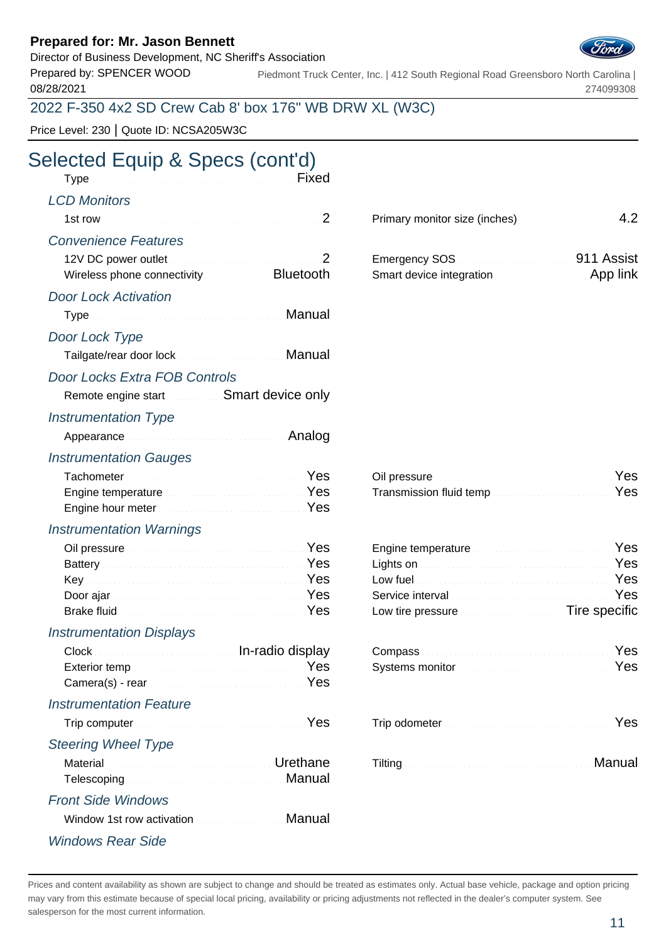Director of Business Development, NC Sheriff's Association

Prepared by: SPENCER WOOD 08/28/2021

Piedmont Truck Center, Inc. | 412 South Regional Road Greensboro North Carolina | 274099308

## 2022 F-350 4x2 SD Crew Cab 8' box 176" WB DRW XL (W3C)

Price Level: 230 | Quote ID: NCSA205W3C

# Selected Equip & Specs (cont'd)

| Type Manual Communications of the Fixed                                                                                                                                                                                        |                                                     |                                                                                                                                                                                                                                                                                                  |        |
|--------------------------------------------------------------------------------------------------------------------------------------------------------------------------------------------------------------------------------|-----------------------------------------------------|--------------------------------------------------------------------------------------------------------------------------------------------------------------------------------------------------------------------------------------------------------------------------------------------------|--------|
| <b>LCD Monitors</b>                                                                                                                                                                                                            |                                                     |                                                                                                                                                                                                                                                                                                  |        |
|                                                                                                                                                                                                                                | 2                                                   | Primary monitor size (inches)                                                                                                                                                                                                                                                                    | 4.2    |
| <b>Convenience Features</b>                                                                                                                                                                                                    |                                                     |                                                                                                                                                                                                                                                                                                  |        |
| Wireless phone connectivity <b>Constant Bluetooth</b>                                                                                                                                                                          | 2                                                   | Emergency SOS <b>Contract Contract Contract Contract Contract Contract Contract Contract Contract Contract Contract Contract Contract Contract Contract Contract Contract Contract Contract Contract Contract Contract Contract </b><br>Smart device integration <b>Smart device integration</b> |        |
| <b>Door Lock Activation</b>                                                                                                                                                                                                    |                                                     |                                                                                                                                                                                                                                                                                                  |        |
| Type Manual Manual Albert Manual Manual                                                                                                                                                                                        |                                                     |                                                                                                                                                                                                                                                                                                  |        |
| Door Lock Type                                                                                                                                                                                                                 |                                                     |                                                                                                                                                                                                                                                                                                  |        |
| Tailgate/rear door lock <b>Contract Contract Manual</b>                                                                                                                                                                        |                                                     |                                                                                                                                                                                                                                                                                                  |        |
| <b>Door Locks Extra FOB Controls</b>                                                                                                                                                                                           |                                                     |                                                                                                                                                                                                                                                                                                  |        |
| Remote engine start Smart device only                                                                                                                                                                                          |                                                     |                                                                                                                                                                                                                                                                                                  |        |
| <b>Instrumentation Type</b>                                                                                                                                                                                                    |                                                     |                                                                                                                                                                                                                                                                                                  |        |
| Appearance Analog Appearance Analog Appearance                                                                                                                                                                                 |                                                     |                                                                                                                                                                                                                                                                                                  |        |
| <b>Instrumentation Gauges</b>                                                                                                                                                                                                  |                                                     |                                                                                                                                                                                                                                                                                                  |        |
| Tachometer Manual Communication of the Yes                                                                                                                                                                                     |                                                     | Oil pressure <b>Committee Committee Committee Committee Committee Committee Committee Committee</b>                                                                                                                                                                                              | Yes    |
| Engine temperature Manuscriptus and Manuscriptus Yes                                                                                                                                                                           |                                                     | Transmission fluid tempYes                                                                                                                                                                                                                                                                       |        |
| Engine hour meter <b>Expanditure of August 2018</b>                                                                                                                                                                            |                                                     |                                                                                                                                                                                                                                                                                                  |        |
| <b>Instrumentation Warnings</b>                                                                                                                                                                                                |                                                     |                                                                                                                                                                                                                                                                                                  |        |
| Oil pressure <b>Executive Community</b> Pes                                                                                                                                                                                    |                                                     | Engine temperature Manuscriptus and Mes                                                                                                                                                                                                                                                          |        |
| Battery <b>Executive Community</b> Pes<br>Key Martin Martin March 1998                                                                                                                                                         |                                                     | Lights on <b>Executive Contract Contract on the State Contract Contract Contract Contract Contract Contract Contract Contract Contract Contract Contract Contract Contract Contract Contract Contract Contract Contract Contract</b><br>Low fuel <b>Executive Community Community</b> Pes        |        |
| Door ajar <b>Martin Albert Bernard Albert Bernard Albert Bernard Albert Bernard Albert Bernard Albert Bernard Albert B</b>                                                                                                     |                                                     |                                                                                                                                                                                                                                                                                                  | Yes    |
| Brake fluid <b>Election Community Community</b> Pes                                                                                                                                                                            |                                                     | Low tire pressure <b>Exercise Exercise Tire specific</b>                                                                                                                                                                                                                                         |        |
| <b>Instrumentation Displays</b>                                                                                                                                                                                                |                                                     |                                                                                                                                                                                                                                                                                                  |        |
| Clock Clock Clock Clock Clock Clock Clock Clock Clock Clock Clock Clock Clock Clock Clock Clock Clock Clock Clock Clock Clock Clock Clock Clock Clock Clock Clock Clock Clock Clock Clock Clock Clock Clock Clock Clock Clock  |                                                     | Compass New Yes                                                                                                                                                                                                                                                                                  |        |
| Exterior temp                                                                                                                                                                                                                  |                                                     | Systems monitor <b>Election Contract Contract of Press</b>                                                                                                                                                                                                                                       |        |
| Camera(s) - rear manufacturers and containing the contact of the contact of the contact of the contact of the contact of the contact of the contact of the contact of the contact of the contact of the contact of the contact | Yes                                                 |                                                                                                                                                                                                                                                                                                  |        |
| <b>Instrumentation Feature</b>                                                                                                                                                                                                 |                                                     |                                                                                                                                                                                                                                                                                                  |        |
|                                                                                                                                                                                                                                | Yes                                                 |                                                                                                                                                                                                                                                                                                  | Yes    |
| <b>Steering Wheel Type</b>                                                                                                                                                                                                     |                                                     |                                                                                                                                                                                                                                                                                                  |        |
| Material                                                                                                                                                                                                                       | <b>Martin Communication Continued City Orethane</b> |                                                                                                                                                                                                                                                                                                  | Manual |
|                                                                                                                                                                                                                                | Manual                                              |                                                                                                                                                                                                                                                                                                  |        |
| <b>Front Side Windows</b>                                                                                                                                                                                                      |                                                     |                                                                                                                                                                                                                                                                                                  |        |
| Window 1st row activation                                                                                                                                                                                                      | Manual                                              |                                                                                                                                                                                                                                                                                                  |        |
| <b>Windows Rear Side</b>                                                                                                                                                                                                       |                                                     |                                                                                                                                                                                                                                                                                                  |        |

|                          | .911 Assist |
|--------------------------|-------------|
| Smart device integration | App link    |

| Oil pressure <b>Commission Commission Commission</b> Yes     |  |
|--------------------------------------------------------------|--|
| Transmission fluid temp <b>Construction Construction</b> Yes |  |

| Engine temperature <b>Engine Service Resident Service Service Service Service Service Service Service Service Service Service Service Service Service Service Service Service Service Service Service Service Service Service Se</b> |        |
|--------------------------------------------------------------------------------------------------------------------------------------------------------------------------------------------------------------------------------------|--------|
| Lights on <b>Executive Contract Contract on the State Contract Contract Contract Contract Contract Contract Control</b>                                                                                                              |        |
| Low fuel <b>contract the contract of the contract of the Ves</b>                                                                                                                                                                     |        |
| Service interval <b>Service Service Community</b> Pes                                                                                                                                                                                |        |
| Low tire pressure <b>Exercise Exercise Tire specific</b>                                                                                                                                                                             |        |
| Compass Yes<br>Systems monitor <b>Constitution Constitution</b> Yes                                                                                                                                                                  |        |
| Trip odometer New Yes                                                                                                                                                                                                                |        |
|                                                                                                                                                                                                                                      | Manual |

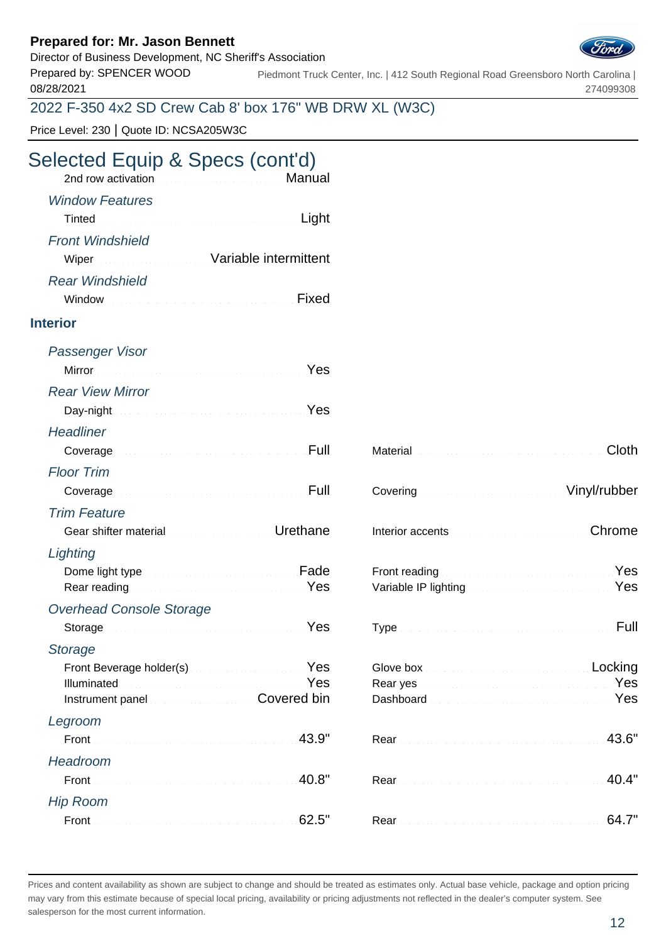### Director of Business Development, NC Sheriff's Association



Prepared by: SPENCER WOOD 08/28/2021 Piedmont Truck Center, Inc. | 412 South Regional Road Greensboro North Carolina | 274099308

2022 F-350 4x2 SD Crew Cab 8' box 176" WB DRW XL (W3C)

Price Level: 230 | Quote ID: NCSA205W3C

## Selected Equip & Specs (cont'd)

| 2nd row activation <b>Committee Committee Committee Committee Committee Committee Committee Committee Committee</b> |                         |
|---------------------------------------------------------------------------------------------------------------------|-------------------------|
| Tinted <b>Executive Community Community</b> Contract to Light                                                       | <b>Window Features</b>  |
| Wiper Wiper Street Street Street Wariable intermittent                                                              | <b>Front Windshield</b> |
| Window Manual Communication of the United States of the United States of the United States of the United States     | <b>Rear Windshield</b>  |

#### **Interior**

| Passenger Visor                                                |                                                            |                                                                                                                |
|----------------------------------------------------------------|------------------------------------------------------------|----------------------------------------------------------------------------------------------------------------|
| Yes                                                            |                                                            |                                                                                                                |
| <b>Rear View Mirror</b>                                        |                                                            |                                                                                                                |
| Day-night News All Day-night News All Day-night                |                                                            |                                                                                                                |
| <b>Headliner</b>                                               |                                                            |                                                                                                                |
| Coverage <b>Exploration Coverage Coverage</b>                  |                                                            | Cloth                                                                                                          |
| <b>Floor Trim</b>                                              |                                                            |                                                                                                                |
| Full<br>Coverage                                               |                                                            | Vinyl/rubber                                                                                                   |
| <b>Trim Feature</b>                                            |                                                            |                                                                                                                |
| Gear shifter material <b>Constitution Constanting Urethane</b> |                                                            | Chrome                                                                                                         |
| Lighting                                                       |                                                            |                                                                                                                |
| Dome light type <b>Exercise Community</b> Fade                 |                                                            | Yes                                                                                                            |
| Rear reading Manuscript Area Manuscript Pes                    |                                                            | Variable IP lighting Market Maria Message Market Message Market Message Market Message Market Market Message M |
| <b>Overhead Console Storage</b>                                |                                                            |                                                                                                                |
| Storage New Yes                                                |                                                            | Full                                                                                                           |
| <b>Storage</b>                                                 |                                                            |                                                                                                                |
| Front Beverage holder(s) Manual Communication Ves              | Glove box <b>Executive Control Control Control</b> Locking |                                                                                                                |
| Yes                                                            |                                                            | Yes                                                                                                            |
| Instrument panel <b>Executive Covered bin</b>                  |                                                            | Dashboard Manual Communication of the Mes                                                                      |
| Legroom                                                        |                                                            |                                                                                                                |
| 43.9"<br>Front :                                               |                                                            | 43.6"                                                                                                          |
| Headroom                                                       |                                                            |                                                                                                                |
| 40.8"                                                          |                                                            | 40.4"                                                                                                          |
| <b>Hip Room</b>                                                |                                                            |                                                                                                                |
| 62.5"                                                          |                                                            | 64.7"                                                                                                          |

| Material Cloth                                                                                                 |  |
|----------------------------------------------------------------------------------------------------------------|--|
| Covering Continuum Covering Covering Covering Covering Covering Covering Covering Covering Covering Covering C |  |
| Interior accents <b>Election Controllection</b> Chrome                                                         |  |
| Front reading New Yes<br>Variable IP lighting [19] Variable IP lighting [19] Variable IP lighting [19] Ves     |  |
|                                                                                                                |  |
| Rear yes <b>Manual Accords</b> 2014 Nest Press, 2014<br>Dashboard Manual Manual Communication of Pes           |  |
|                                                                                                                |  |
| Rear 40.4"                                                                                                     |  |
|                                                                                                                |  |